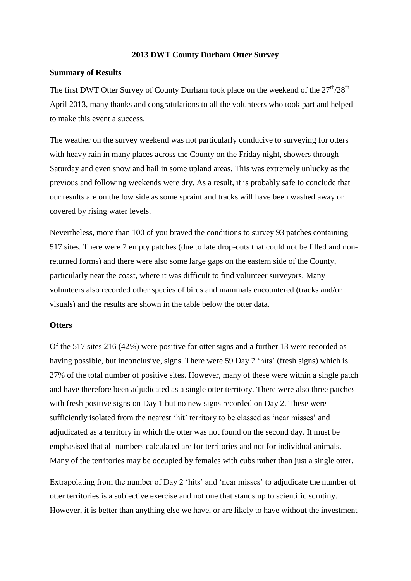#### **2013 DWT County Durham Otter Survey**

### **Summary of Results**

The first DWT Otter Survey of County Durham took place on the weekend of the  $27<sup>th</sup>/28<sup>th</sup>$ April 2013, many thanks and congratulations to all the volunteers who took part and helped to make this event a success.

The weather on the survey weekend was not particularly conducive to surveying for otters with heavy rain in many places across the County on the Friday night, showers through Saturday and even snow and hail in some upland areas. This was extremely unlucky as the previous and following weekends were dry. As a result, it is probably safe to conclude that our results are on the low side as some spraint and tracks will have been washed away or covered by rising water levels.

Nevertheless, more than 100 of you braved the conditions to survey 93 patches containing 517 sites. There were 7 empty patches (due to late drop-outs that could not be filled and nonreturned forms) and there were also some large gaps on the eastern side of the County, particularly near the coast, where it was difficult to find volunteer surveyors. Many volunteers also recorded other species of birds and mammals encountered (tracks and/or visuals) and the results are shown in the table below the otter data.

#### **Otters**

Of the 517 sites 216 (42%) were positive for otter signs and a further 13 were recorded as having possible, but inconclusive, signs. There were 59 Day 2 'hits' (fresh signs) which is 27% of the total number of positive sites. However, many of these were within a single patch and have therefore been adjudicated as a single otter territory. There were also three patches with fresh positive signs on Day 1 but no new signs recorded on Day 2. These were sufficiently isolated from the nearest 'hit' territory to be classed as 'near misses' and adjudicated as a territory in which the otter was not found on the second day. It must be emphasised that all numbers calculated are for territories and not for individual animals. Many of the territories may be occupied by females with cubs rather than just a single otter.

Extrapolating from the number of Day 2 'hits' and 'near misses' to adjudicate the number of otter territories is a subjective exercise and not one that stands up to scientific scrutiny. However, it is better than anything else we have, or are likely to have without the investment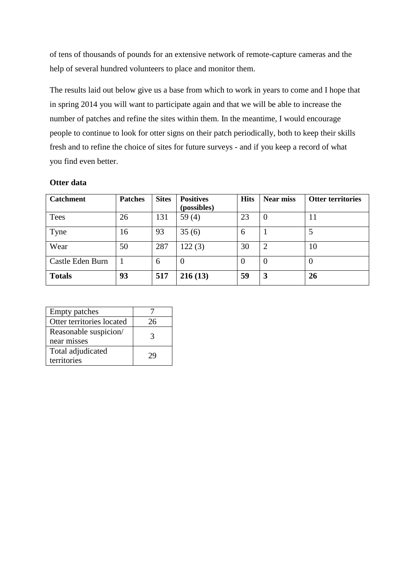of tens of thousands of pounds for an extensive network of remote-capture cameras and the help of several hundred volunteers to place and monitor them.

The results laid out below give us a base from which to work in years to come and I hope that in spring 2014 you will want to participate again and that we will be able to increase the number of patches and refine the sites within them. In the meantime, I would encourage people to continue to look for otter signs on their patch periodically, both to keep their skills fresh and to refine the choice of sites for future surveys - and if you keep a record of what you find even better.

## **Otter data**

| <b>Catchment</b> | <b>Patches</b> | <b>Sites</b> | <b>Positives</b><br>(possibles) | <b>Hits</b> | <b>Near miss</b> | <b>Otter territories</b> |
|------------------|----------------|--------------|---------------------------------|-------------|------------------|--------------------------|
| Tees             | 26             | 131          | 59 $(4)$                        | 23          | $\theta$         | 11                       |
| Tyne             | 16             | 93           | 35(6)                           | 6           |                  | 5                        |
| Wear             | 50             | 287          | 122(3)                          | 30          | $\overline{2}$   | 10                       |
| Castle Eden Burn |                | 6            |                                 | $\Omega$    | $\theta$         | $\Omega$                 |
| <b>Totals</b>    | 93             | 517          | 216(13)                         | 59          | 3                | 26                       |

| <b>Empty patches</b>                 |    |
|--------------------------------------|----|
| Otter territories located            | 26 |
| Reasonable suspicion/<br>near misses | 3  |
| Total adjudicated<br>territories     | 29 |